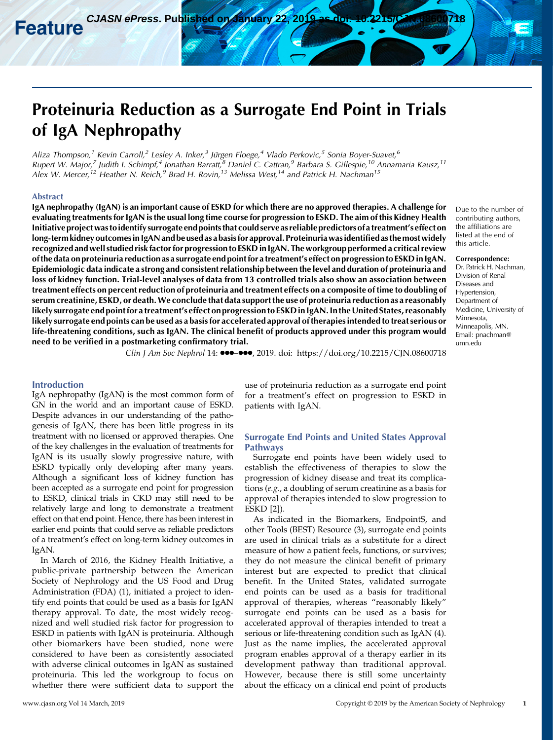# Proteinuria Reduction as a Surrogate End Point in Trials of IgA Nephropathy

Aliza Thompson,<sup>1</sup> Kevin Carroll,<sup>2</sup> Lesley A. Inker,<sup>3</sup> Jürgen Floege,<sup>4</sup> Vlado Perkovic,<sup>5</sup> Sonia Boyer-Suavet,<sup>6</sup> Rupert W. Major,<sup>7</sup> Judith I. Schimpf,<sup>4</sup> Jonathan Barratt,<sup>8</sup> Daniel C. Cattran,<sup>9</sup> Barbara S. Gillespie,<sup>10</sup> Annamaria Kausz,<sup>11</sup> Alex W. Mercer,<sup>12</sup> Heather N. Reich,<sup>9</sup> Brad H. Rovin,<sup>13</sup> Melissa West,<sup>14</sup> and Patrick H. Nachman<sup>15</sup>

#### Abstract

IgA nephropathy (IgAN) is an important cause of ESKD for which there are no approved therapies. A challenge for evaluating treatments for IgAN is the usual long time course for progression to ESKD. The aim of this Kidney Health Initiative projectwas toidentify surrogate end points that could serve as reliable predictors of a treatment's effect on long-term kidney outcomesin IgAN and be used as a basis for approval. Proteinuria wasidentified as themost widely recognized and well studied risk factor for progression to ESKD in IgAN. The workgroup performed a critical review of the data on proteinuria reduction as a surrogate end point for a treatment's effect on progression to ESKD in IgAN. Epidemiologic data indicate a strong and consistent relationship between the level and duration of proteinuria and loss of kidney function. Trial-level analyses of data from 13 controlled trials also show an association between treatment effects on percentreduction of proteinuria and treatment effects on a composite of time to doubling of serum creatinine, ESKD, or death.We conclude that data support the use of proteinuria reduction as a reasonably likely surrogate end point for a treatment's effect on progression to ESKD in IgAN. In the United States, reasonably likely surrogate end points can be used as a basis for accelerated approval of therapies intended to treat serious or life-threatening conditions, such as IgAN. The clinical benefit of products approved under this program would need to be verified in a postmarketing confirmatory trial.

Due to the number of contributing authors, the affiliations are listed at the end of this article.

#### Correspondence:

Dr. Patrick H. Nachman, Division of Renal Diseases and Hypertension, Department of Medicine, University of Minnesota, Minneapolis, MN. Email: [pnachman@](mailto:pnachman@umn.edu) [umn.edu](mailto:pnachman@umn.edu)

Clin J Am Soc Nephrol 14:  $\bullet \bullet \bullet \bullet \bullet$ , 2019. doi:<https://doi.org/10.2215/CJN.08600718>

### Introduction

IgA nephropathy (IgAN) is the most common form of GN in the world and an important cause of ESKD. Despite advances in our understanding of the pathogenesis of IgAN, there has been little progress in its treatment with no licensed or approved therapies. One of the key challenges in the evaluation of treatments for IgAN is its usually slowly progressive nature, with ESKD typically only developing after many years. Although a significant loss of kidney function has been accepted as a surrogate end point for progression to ESKD, clinical trials in CKD may still need to be relatively large and long to demonstrate a treatment effect on that end point. Hence, there has been interest in earlier end points that could serve as reliable predictors of a treatment's effect on long-term kidney outcomes in IgAN.

In March of 2016, the Kidney Health Initiative, a public-private partnership between the American Society of Nephrology and the US Food and Drug Administration (FDA) (1), initiated a project to identify end points that could be used as a basis for IgAN therapy approval. To date, the most widely recognized and well studied risk factor for progression to ESKD in patients with IgAN is proteinuria. Although other biomarkers have been studied, none were considered to have been as consistently associated with adverse clinical outcomes in IgAN as sustained proteinuria. This led the workgroup to focus on whether there were sufficient data to support the

use of proteinuria reduction as a surrogate end point for a treatment's effect on progression to ESKD in patients with IgAN.

## Surrogate End Points and United States Approval Pathways

Surrogate end points have been widely used to establish the effectiveness of therapies to slow the progression of kidney disease and treat its complications (e.g., a doubling of serum creatinine as a basis for approval of therapies intended to slow progression to ESKD [2]).

As indicated in the Biomarkers, EndpointS, and other Tools (BEST) Resource (3), surrogate end points are used in clinical trials as a substitute for a direct measure of how a patient feels, functions, or survives; they do not measure the clinical benefit of primary interest but are expected to predict that clinical benefit. In the United States, validated surrogate end points can be used as a basis for traditional approval of therapies, whereas "reasonably likely" surrogate end points can be used as a basis for accelerated approval of therapies intended to treat a serious or life-threatening condition such as IgAN (4). Just as the name implies, the accelerated approval program enables approval of a therapy earlier in its development pathway than traditional approval. However, because there is still some uncertainty about the efficacy on a clinical end point of products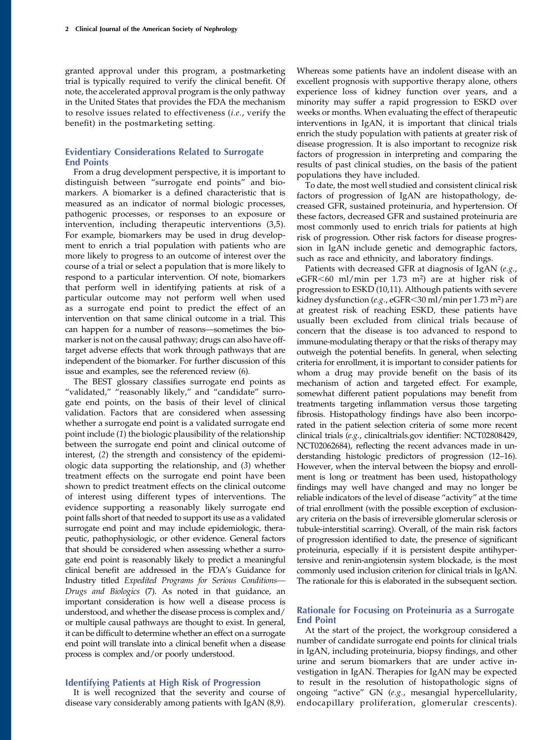granted approval under this program, a postmarketing trial is typically required to verify the clinical benefit. Of note, the accelerated approval program is the only pathway in the United States that provides the FDA the mechanism to resolve issues related to effectiveness (i.e., verify the benefit) in the postmarketing setting.

## Evidentiary Considerations Related to Surrogate End Points

From a drug development perspective, it is important to distinguish between "surrogate end points" and biomarkers. A biomarker is a defined characteristic that is measured as an indicator of normal biologic processes, pathogenic processes, or responses to an exposure or intervention, including therapeutic interventions (3,5). For example, biomarkers may be used in drug development to enrich a trial population with patients who are more likely to progress to an outcome of interest over the course of a trial or select a population that is more likely to respond to a particular intervention. Of note, biomarkers that perform well in identifying patients at risk of a particular outcome may not perform well when used as a surrogate end point to predict the effect of an intervention on that same clinical outcome in a trial. This can happen for a number of reasons—sometimes the biomarker is not on the causal pathway; drugs can also have offtarget adverse effects that work through pathways that are independent of the biomarker. For further discussion of this issue and examples, see the referenced review (6).

The BEST glossary classifies surrogate end points as "validated," "reasonably likely," and "candidate" surrogate end points, on the basis of their level of clinical validation. Factors that are considered when assessing whether a surrogate end point is a validated surrogate end point include (1) the biologic plausibility of the relationship between the surrogate end point and clinical outcome of interest, (2) the strength and consistency of the epidemiologic data supporting the relationship, and (3) whether treatment effects on the surrogate end point have been shown to predict treatment effects on the clinical outcome of interest using different types of interventions. The evidence supporting a reasonably likely surrogate end point falls short of that needed to support its use as a validated surrogate end point and may include epidemiologic, therapeutic, pathophysiologic, or other evidence. General factors that should be considered when assessing whether a surrogate end point is reasonably likely to predict a meaningful clinical benefit are addressed in the FDA's Guidance for Industry titled Expedited Programs for Serious Conditions— Drugs and Biologics (7). As noted in that guidance, an important consideration is how well a disease process is understood, and whether the disease process is complex and/ or multiple causal pathways are thought to exist. In general, it can be difficult to determine whether an effect on a surrogate end point will translate into a clinical benefit when a disease process is complex and/or poorly understood.

## Identifying Patients at High Risk of Progression

It is well recognized that the severity and course of disease vary considerably among patients with IgAN (8,9).

Whereas some patients have an indolent disease with an excellent prognosis with supportive therapy alone, others experience loss of kidney function over years, and a minority may suffer a rapid progression to ESKD over weeks or months. When evaluating the effect of therapeutic interventions in IgAN, it is important that clinical trials enrich the study population with patients at greater risk of disease progression. It is also important to recognize risk factors of progression in interpreting and comparing the results of past clinical studies, on the basis of the patient populations they have included.

To date, the most well studied and consistent clinical risk factors of progression of IgAN are histopathology, decreased GFR, sustained proteinuria, and hypertension. Of these factors, decreased GFR and sustained proteinuria are most commonly used to enrich trials for patients at high risk of progression. Other risk factors for disease progression in IgAN include genetic and demographic factors, such as race and ethnicity, and laboratory findings.

Patients with decreased GFR at diagnosis of IgAN (e.g., eGFR $<$ 60 ml/min per 1.73 m<sup>2</sup>) are at higher risk of progression to ESKD (10,11). Although patients with severe kidney dysfunction (e.g.,  $e$ GFR $<$ 30 ml/min per 1.73 m<sup>2</sup>) are at greatest risk of reaching ESKD, these patients have usually been excluded from clinical trials because of concern that the disease is too advanced to respond to immune-modulating therapy or that the risks of therapy may outweigh the potential benefits. In general, when selecting criteria for enrollment, it is important to consider patients for whom a drug may provide benefit on the basis of its mechanism of action and targeted effect. For example, somewhat different patient populations may benefit from treatments targeting inflammation versus those targeting fibrosis. Histopathology findings have also been incorporated in the patient selection criteria of some more recent clinical trials (e.g., clinicaltrials.gov identifier: NCT02808429, NCT02062684), reflecting the recent advances made in understanding histologic predictors of progression (12–16). However, when the interval between the biopsy and enrollment is long or treatment has been used, histopathology findings may well have changed and may no longer be reliable indicators of the level of disease "activity" at the time of trial enrollment (with the possible exception of exclusionary criteria on the basis of irreversible glomerular sclerosis or tubule-interstitial scarring). Overall, of the main risk factors of progression identified to date, the presence of significant proteinuria, especially if it is persistent despite antihypertensive and renin-angiotensin system blockade, is the most commonly used inclusion criterion for clinical trials in IgAN. The rationale for this is elaborated in the subsequent section.

## Rationale for Focusing on Proteinuria as a Surrogate End Point

At the start of the project, the workgroup considered a number of candidate surrogate end points for clinical trials in IgAN, including proteinuria, biopsy findings, and other urine and serum biomarkers that are under active investigation in IgAN. Therapies for IgAN may be expected to result in the resolution of histopathologic signs of ongoing "active" GN (e.g., mesangial hypercellularity, endocapillary proliferation, glomerular crescents).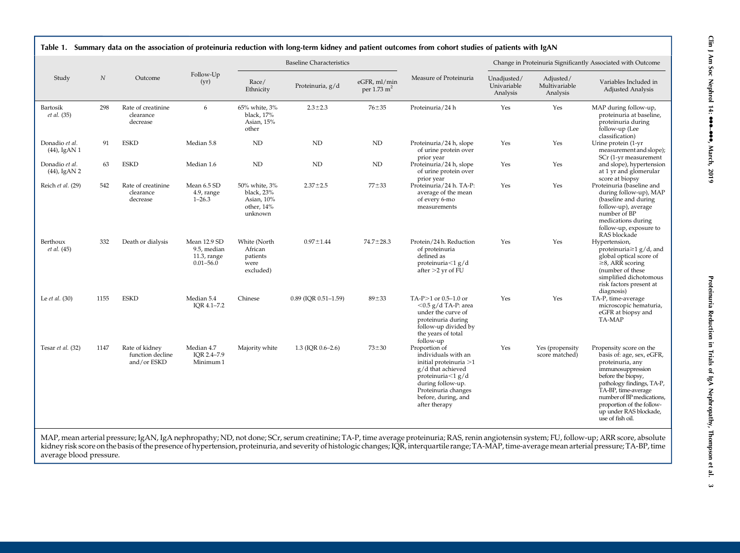|                                   |          |                                                   |                                                             |                                                                    | <b>Baseline Characteristics</b> |                                        |                                                                                                                                                                                              |                                        |                                        | Change in Proteinuria Significantly Associated with Outcome                                                                                                                                                                                                                     |
|-----------------------------------|----------|---------------------------------------------------|-------------------------------------------------------------|--------------------------------------------------------------------|---------------------------------|----------------------------------------|----------------------------------------------------------------------------------------------------------------------------------------------------------------------------------------------|----------------------------------------|----------------------------------------|---------------------------------------------------------------------------------------------------------------------------------------------------------------------------------------------------------------------------------------------------------------------------------|
| Study                             | $\cal N$ | Outcome                                           | Follow-Up<br>(yr)                                           | Race/<br>Ethnicity                                                 | Proteinuria, g/d                | eGFR, ml/min<br>per $1.73 \text{ m}^2$ | Measure of Proteinuria                                                                                                                                                                       | Unadjusted/<br>Univariable<br>Analysis | Adjusted/<br>Multivariable<br>Analysis | Variables Included in<br>Adjusted Analysis                                                                                                                                                                                                                                      |
| Bartosik<br><i>et al.</i> (35)    | 298      | Rate of creatinine<br>clearance<br>decrease       | 6                                                           | 65% white, 3%<br>black, 17%<br>Asian, 15%<br>other                 | $2.3 \pm 2.3$                   | $76 + 35$                              | Proteinuria/24 h                                                                                                                                                                             | Yes                                    | Yes                                    | MAP during follow-up,<br>proteinuria at baseline,<br>proteinuria during<br>follow-up (Lee<br>classification)                                                                                                                                                                    |
| Donadio et al.<br>$(44)$ , IgAN 1 | 91       | <b>ESKD</b>                                       | Median 5.8                                                  | $\mbox{\sc ND}$                                                    | <b>ND</b>                       | ND                                     | Proteinuria/24 h, slope<br>of urine protein over<br>prior year                                                                                                                               | Yes                                    | Yes                                    | Urine protein (1-yr<br>measurement and slope);<br>SCr (1-yr measurement                                                                                                                                                                                                         |
| Donadio et al.<br>$(44)$ , IgAN 2 | 63       | <b>ESKD</b>                                       | Median 1.6                                                  | $\rm ND$                                                           | ND                              | ND                                     | Proteinuria/24 h, slope<br>of urine protein over<br>prior year                                                                                                                               | Yes                                    | Yes                                    | and slope), hypertension<br>at 1 yr and glomerular<br>score at biopsy                                                                                                                                                                                                           |
| Reich et al. (29)                 | 542      | Rate of creatinine<br>clearance<br>decrease       | Mean 6.5 SD<br>4.9, range<br>$1 - 26.3$                     | 50% white, 3%<br>black, 23%<br>Asian, 10%<br>other, 14%<br>unknown | $2.37 \pm 2.5$                  | $77 + 33$                              | Proteinuria/24 h. TA-P:<br>average of the mean<br>of every 6-mo<br>measurements                                                                                                              | Yes                                    | Yes                                    | Proteinuria (baseline and<br>during follow-up), MAP<br>(baseline and during<br>follow-up), average<br>number of BP<br>medications during<br>follow-up, exposure to<br>RAS blockade                                                                                              |
| Berthoux<br><i>et al.</i> (45)    | 332      | Death or dialysis                                 | Mean 12.9 SD<br>9.5, median<br>11.3, range<br>$0.01 - 56.0$ | White (North<br>African<br>patients<br>were<br>excluded)           | $0.97 \pm 1.44$                 | $74.7 \pm 28.3$                        | Protein/24 h. Reduction<br>of proteinuria<br>defined as<br>proteinuria $<$ 1 g/d<br>after $>2$ yr of FU                                                                                      | Yes                                    | Yes                                    | Hypertension,<br>proteinuria $\geq$ 1 g/d, and<br>global optical score of<br>$\geq$ 8, ARR scoring<br>(number of these)<br>simplified dichotomous<br>risk factors present at<br>diagnosis)                                                                                      |
| Le $et al. (30)$                  | 1155     | <b>ESKD</b>                                       | Median 5.4<br>IOR 4.1-7.2                                   | Chinese                                                            | 0.89 (IQR 0.51-1.59)            | $89 + 33$                              | TA-P $>1$ or 0.5–1.0 or<br>$<$ 0.5 g/d TA-P: area<br>under the curve of<br>proteinuria during<br>follow-up divided by<br>the years of total<br>follow-up                                     | Yes                                    | Yes                                    | TA-P, time-average<br>microscopic hematuria,<br>eGFR at biopsy and<br>TA-MAP                                                                                                                                                                                                    |
| Tesar et al. (32)                 | 1147     | Rate of kidney<br>function decline<br>and/or ESKD | Median 4.7<br>IOR 2.4-7.9<br>Minimum 1                      | Majority white                                                     | 1.3 (IQR $0.6-2.6$ )            | $73 + 30$                              | Proportion of<br>individuals with an<br>initial proteinuria >1<br>g/d that achieved<br>proteinuria<1 g/d<br>during follow-up.<br>Proteinuria changes<br>before, during, and<br>after therapy | Yes                                    | Yes (propensity<br>score matched)      | Propensity score on the<br>basis of: age, sex, eGFR,<br>proteinuria, any<br>immunosuppression<br>before the biopsy,<br>pathology findings, TA-P,<br>TA-BP, time-average<br>number of BP medications,<br>proportion of the follow-<br>up under RAS blockade,<br>use of fish oil. |

Table 1. Summary data on the association of proteinuria reduction with long-term kidney and patient outcomes from cohort studies of patients with IgAN

MAP, mean arterial pressure; IgAN, IgA nephropathy; ND, not done; SCr, serum creatinine; TA-P, time average proteinuria; RAS, renin angiotensin system; FU, follow-up; ARR score, absolute kidney risk score on the basis of the presence of hypertension, proteinuria, and severity of histologic changes; IQR, interquartile range; TA-MAP, time-average mean arterial pressure; TA-BP, time average blood pressure.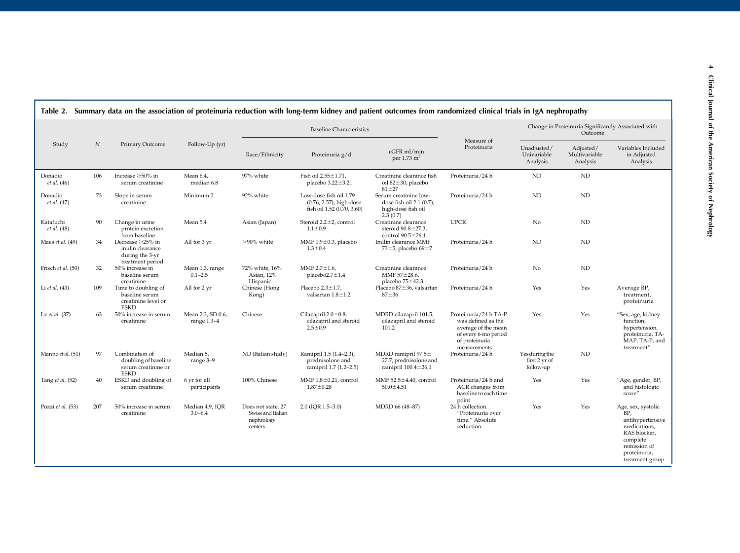|                               |                  |                                                                                   |                                    |                                                                  | <b>Baseline Characteristics</b>                                                 |                                                                                     |                                                                                                                              |                                              | Change in Proteinuria Significantly Associated with<br>Outcome |                                                                                                                                              |
|-------------------------------|------------------|-----------------------------------------------------------------------------------|------------------------------------|------------------------------------------------------------------|---------------------------------------------------------------------------------|-------------------------------------------------------------------------------------|------------------------------------------------------------------------------------------------------------------------------|----------------------------------------------|----------------------------------------------------------------|----------------------------------------------------------------------------------------------------------------------------------------------|
| Study                         | $\boldsymbol{N}$ | Primary Outcome                                                                   | Follow-Up (yr)                     | Race/Ethnicity                                                   | Proteinuria g/d                                                                 | eGFR ml/min<br>per $1.73 \text{ m}^2$                                               | Measure of<br>Proteinuria                                                                                                    | Unadjusted/<br>Univariable<br>Analysis       | Adjusted/<br>Multivariable<br>Analysis                         | Variables Included<br>in Adjusted<br>Analysis                                                                                                |
| Donadio<br><i>et al.</i> (46) | 106              | Increase $\geq 50\%$ in<br>serum creatinine                                       | Mean 6.4,<br>median 6.8            | 97% white                                                        | Fish oil $2.55 \pm 1.71$ ,<br>placebo $3.22 \pm 3.21$                           | Creatinine clearance fish<br>oil 82±30, placebo<br>$81 + 27$                        | Proteinuria/24 h                                                                                                             | <b>ND</b>                                    | ND                                                             |                                                                                                                                              |
| Donadio<br><i>et al.</i> (47) | 73               | Slope in serum<br>creatinine                                                      | Minimum 2                          | 92% white                                                        | Low-dose fish oil 1.79<br>(0.76, 2.57), high-dose<br>fish oil 1.52 (0.70, 3.60) | Serum creatinine low-<br>dose fish oil 2.1 (0.7),<br>high-dose fish oil<br>2.3(0.7) | Proteinuria/24 h                                                                                                             | ND                                           | ND                                                             |                                                                                                                                              |
| Katafuchi<br>et al. (48)      | 90               | Change in urine<br>protein excretion<br>from baseline                             | Mean 5.4                           | Asian (Japan)                                                    | Steroid $2.2 \pm 2$ , control<br>$1.1 \pm 0.9$                                  | Creatinine clearance<br>steroid 90.8±27.3,<br>control $90.5 \pm 26.1$               | <b>UPCR</b>                                                                                                                  | No                                           | ND                                                             |                                                                                                                                              |
| Maes et al. (49)              | 34               | Decrease $\geq$ 25% in<br>inulin clearance<br>during the 3-yr<br>treatment period | All for 3 yr                       | $>90\%$ white                                                    | MMF $1.9 \pm 0.3$ , placebo<br>$1.3 \pm 0.4$                                    | Inulin clearance MMF<br>73 $\pm$ 5, placebo 69 $\pm$ 7                              | Proteinuria/24 h                                                                                                             | <b>ND</b>                                    | ND                                                             |                                                                                                                                              |
| Frisch et al. (50)            | 32               | 50% increase in<br>baseline serum<br>creatinine                                   | Mean 1.3, range<br>$0.1 - 2.5$     | 72% white, 16%<br>Asian, 12%<br>Hispanic                         | MMF $2.7 \pm 1.6$ ,<br>placebo $2.7 \pm 1.4$                                    | Creatinine clearance<br>MMF $57 \pm 28.6$ ,<br>placebo 75±42.3                      | Proteinuria/24 h                                                                                                             | No                                           | ND                                                             |                                                                                                                                              |
| Li et al. (43)                | 109              | Time to doubling of<br>baseline serum<br>creatinine level or<br><b>ESKD</b>       | All for 2 yr                       | Chinese (Hong<br>Kong)                                           | Placebo $2.3 \pm 1.7$ ,<br>valsartan $1.8 \pm 1.2$                              | Placebo 87±36, valsartan<br>$87 + 36$                                               | Proteinuria/24 h                                                                                                             | Yes                                          | Yes                                                            | Average BP,<br>treatment,<br>proteinuria                                                                                                     |
| Lv et al. (37)                | 63               | 50% increase in serum<br>creatinine                                               | Mean 2.3, SD 0.6,<br>range $1.3-4$ | Chinese                                                          | Cilazapril $2.0 \pm 0.8$ ,<br>cilazapril and steroid<br>$2.5 \pm 0.9$           | MDRD cilazapril 101.5,<br>cilazapril and steroid<br>101.2                           | Proteinuria/24 h TA-P<br>was defined as the<br>average of the mean<br>of every 6-mo period<br>of proteinuria<br>measurements | Yes                                          | Yes                                                            | "Sex, age, kidney<br>function,<br>hypertension,<br>proteinuria, TA-<br>MAP, TA-P, and<br>treatment"                                          |
| Manno et al. (51)             | 97               | Combination of<br>doubling of baseline<br>serum creatinine or<br><b>ESKD</b>      | Median 5,<br>range 3-9             | ND (Italian study)                                               | Ramipril 1.5 (1.4-2.3),<br>prednisolone and<br>ramipril 1.7 (1.2-2.5)           | MDRD ramipril $97.5\pm$<br>27.7, prednisolone and<br>ramipril $100.4 \pm 26.1$      | Proteinuria/24 h                                                                                                             | Yes during the<br>first 2 yr of<br>follow-up | ND                                                             |                                                                                                                                              |
| Tang et al. (52)              | 40               | ESKD and doubling of<br>serum creatinine                                          | 6 yr for all<br>participants       | 100% Chinese                                                     | MMF $1.8 \pm 0.21$ , control<br>$1.87 \pm 0.28$                                 | MMF $52.5 \pm 4.40$ , control<br>$50.0 \pm 4.51$                                    | Proteinuria/24 h and<br>ACR changes from<br>baseline to each time<br>point                                                   | Yes                                          | Yes                                                            | "Age, gender, BP,<br>and histologic<br>score"                                                                                                |
| Pozzi et al. (53)             | 207              | 50% increase in serum<br>creatinine                                               | Median 4.9, IQR<br>$3.0 - 6.4$     | Does not state, 27<br>Swiss and Italian<br>nephrology<br>centers | $2.0$ (IQR $1.5-3.0$ )                                                          | MDRD 66 (48-87)                                                                     | 24 h collection.<br>"Proteinuria over<br>time." Absolute<br>reduction.                                                       | Yes                                          | Yes                                                            | Age, sex, systolic<br>BP.<br>antihypertensive<br>medications,<br>RAS blocker,<br>complete<br>remission of<br>proteinuria,<br>treatment group |

## $\sqrt{\frac{1}{100}}$  Summary data on the association of proteinuria reduction with long-term kidney and patient outcomes from randomized clinical trials in IgA nephropathy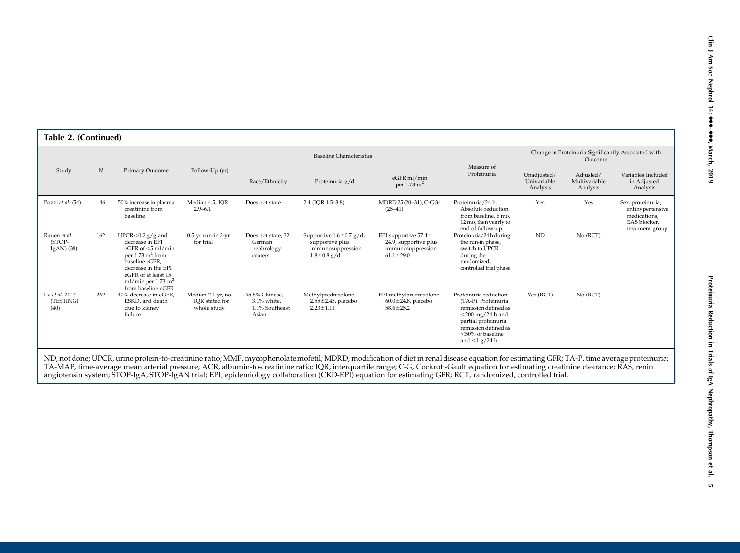| Table 2. (Continued)                    |                  |                                                                                                                                                                                                                              |                                                    |                                                             |                                                                                            |                                                                                           |                                                                                                                                                                                           |                                        |                                                                |                                                                                          |
|-----------------------------------------|------------------|------------------------------------------------------------------------------------------------------------------------------------------------------------------------------------------------------------------------------|----------------------------------------------------|-------------------------------------------------------------|--------------------------------------------------------------------------------------------|-------------------------------------------------------------------------------------------|-------------------------------------------------------------------------------------------------------------------------------------------------------------------------------------------|----------------------------------------|----------------------------------------------------------------|------------------------------------------------------------------------------------------|
|                                         |                  |                                                                                                                                                                                                                              |                                                    |                                                             | <b>Baseline Characteristics</b>                                                            |                                                                                           |                                                                                                                                                                                           |                                        | Change in Proteinuria Significantly Associated with<br>Outcome |                                                                                          |
| Study                                   | $\boldsymbol{N}$ | Primary Outcome                                                                                                                                                                                                              | Follow-Up (yr)                                     | Race/Ethnicity                                              | Proteinuria g/d                                                                            | eGFR ml/min<br>per 1.73 m <sup>2</sup>                                                    | Measure of<br>Proteinuria                                                                                                                                                                 | Unadjusted/<br>Univariable<br>Analysis | Adjusted/<br>Multivariable<br>Analysis                         | Variables Included<br>in Adjusted<br>Analysis                                            |
| Pozzi et al. (54)                       | 46               | 50% increase in plasma<br>creatinine from<br>baseline                                                                                                                                                                        | Median 4.5, IQR<br>$2.9 - 6.1$                     | Does not state                                              | 2.4 (IQR 1.5-3.8)                                                                          | MDRD 25 (20-31), C-G 34<br>$(25-41)$                                                      | Proteinuria/24 h.<br>Absolute reduction<br>from baseline, 6 mo,<br>12 mo, then yearly to<br>end of follow-up                                                                              | Yes                                    | Yes                                                            | Sex, proteinuria,<br>antihypertensive<br>medications,<br>RAS blocker.<br>treatment group |
| Rauen et al.<br>(STOP-<br>IgAN $)$ (39) | 162              | UPCR $\leq$ 0.2 g/g and<br>decrease in EPI<br>eGFR of $\leq$ 5 ml/min<br>per $1.73 \text{ m}^2$ from<br>baseline eGFR,<br>decrease in the EPI<br>eGFR of at least 15<br>ml/min per 1.73 m <sup>2</sup><br>from baseline eGFR | $0.5$ yr run-in $3$ -yr<br>for trial               | Does not state, 32<br>German<br>nephrology<br>centers       | Supportive $1.6 \pm 0.7$ g/d,<br>supportive plus<br>immunosuppression<br>$1.8 \pm 0.8$ g/d | EPI supportive $57.4\pm$<br>24.9, supportive plus<br>immunosuppression<br>$61.1 \pm 29.0$ | Proteinuria/24hduring<br>the run-in phase,<br>switch to UPCR<br>during the<br>randomized,<br>controlled trial phase                                                                       | ND                                     | No (RCT)                                                       |                                                                                          |
| Lv et al. 2017<br>(TESTING)<br>(40)     | 262              | 40% decrease in eGFR.<br>ESKD, and death<br>due to kidney<br>failure                                                                                                                                                         | Median 2.1 yr, no<br>IOR stated for<br>whole study | 95.8% Chinese,<br>$3.1\%$ white.<br>1.1% Southeast<br>Asian | Methylprednisolone<br>$2.55 \pm 2.45$ , placebo<br>$2.23 \pm 1.11$                         | EPI methylprednisolone<br>$60.0 \pm 24.8$ , placebo<br>$58.6 \pm 25.2$                    | Proteinuria reduction<br>(TA-P). Proteinuria<br>remission defined as<br>$<$ 200 mg/24 h and<br>partial proteinuria<br>remission defined as<br>$<$ 50% of baseline<br>and $\leq$ 1 g/24 h. | Yes (RCT)                              | No (RCT)                                                       |                                                                                          |

ND, not done; UPCR, urine protein-to-creatinine ratio; MMF, mycophenolate mofetil; MDRD, modification of diet in renal disease equation for estimating GFR; TA-P, time average proteinuria; TA-MAP, time-average mean arterial pressure; ACR, albumin-to-creatinine ratio; IQR, interquartile range; C-G, Cockroft-Gault equation for estimating creatinine clearance; RAS, renin angiotensin system; STOP-IgA, STOP-IgAN trial; EPI, epidemiology collaboration (CKD-EPI) equation for estimating GFR; RCT, randomized, controlled trial.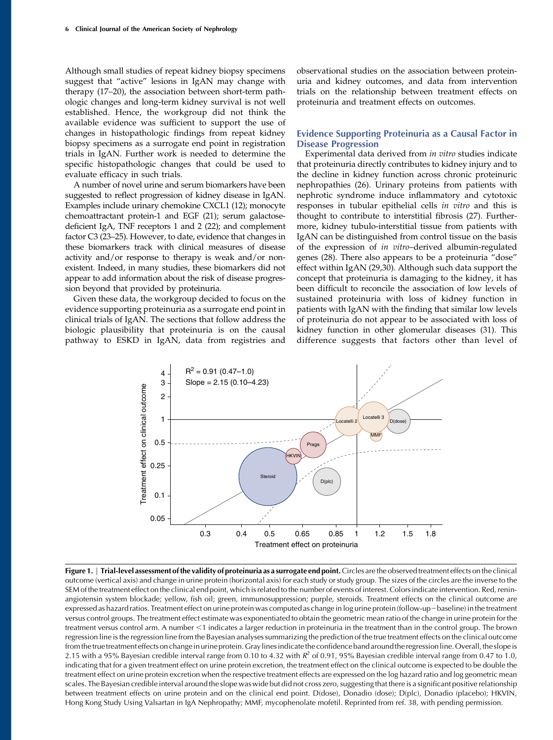Although small studies of repeat kidney biopsy specimens suggest that "active" lesions in IgAN may change with therapy (17–20), the association between short-term pathologic changes and long-term kidney survival is not well established. Hence, the workgroup did not think the available evidence was sufficient to support the use of changes in histopathologic findings from repeat kidney biopsy specimens as a surrogate end point in registration trials in IgAN. Further work is needed to determine the specific histopathologic changes that could be used to evaluate efficacy in such trials.

A number of novel urine and serum biomarkers have been suggested to reflect progression of kidney disease in IgAN. Examples include urinary chemokine CXCL1 (12); monocyte chemoattractant protein-1 and EGF (21); serum galactosedeficient IgA, TNF receptors 1 and 2 (22); and complement factor C3 (23–25). However, to date, evidence that changes in these biomarkers track with clinical measures of disease activity and/or response to therapy is weak and/or nonexistent. Indeed, in many studies, these biomarkers did not appear to add information about the risk of disease progression beyond that provided by proteinuria.

Given these data, the workgroup decided to focus on the evidence supporting proteinuria as a surrogate end point in clinical trials of IgAN. The sections that follow address the biologic plausibility that proteinuria is on the causal pathway to ESKD in IgAN, data from registries and observational studies on the association between proteinuria and kidney outcomes, and data from intervention trials on the relationship between treatment effects on proteinuria and treatment effects on outcomes.

## Evidence Supporting Proteinuria as a Causal Factor in Disease Progression

Experimental data derived from in vitro studies indicate that proteinuria directly contributes to kidney injury and to the decline in kidney function across chronic proteinuric nephropathies (26). Urinary proteins from patients with nephrotic syndrome induce inflammatory and cytotoxic responses in tubular epithelial cells in vitro and this is thought to contribute to interstitial fibrosis (27). Furthermore, kidney tubulo-interstitial tissue from patients with IgAN can be distinguished from control tissue on the basis of the expression of in vitro–derived albumin-regulated genes (28). There also appears to be a proteinuria "dose" effect within IgAN (29,30). Although such data support the concept that proteinuria is damaging to the kidney, it has been difficult to reconcile the association of low levels of sustained proteinuria with loss of kidney function in patients with IgAN with the finding that similar low levels of proteinuria do not appear to be associated with loss of kidney function in other glomerular diseases (31). This difference suggests that factors other than level of



Figure 1. | Trial-level assessment of the validity of proteinuria as a surrogate end point. Circles are the observed treatment effects on the clinical outcome (vertical axis) and change in urine protein (horizontal axis) for each study or study group. The sizes of the circles are the inverse to the SEM of the treatment effect on the clinical end point, which is related to the number of events of interest. Colors indicate intervention. Red, reninangiotensin system blockade; yellow, fish oil; green, immunosuppression; purple, steroids. Treatment effects on the clinical outcome are expressed as hazard ratios. Treatment effect on urine protein was computed as change in log urine protein (follow-up-baseline) in the treatment versus control groups. The treatment effect estimate was exponentiated to obtain the geometric mean ratio of the change in urine protein for the treatment versus control arm. A number <1 indicates a larger reduction in proteinuria in the treatment than in the control group. The brown regression line is the regression line from the Bayesian analyses summarizing the prediction of the true treatment effects on the clinical outcome from the true treatment effects on change in urine protein. Gray lines indicate the confidence band around the regression line. Overall, the slope is 2.15 with a 95% Bayesian credible interval range from 0.10 to 4.32 with  $R^2$  of 0.91, 95% Bayesian credible interval range from 0.47 to 1.0, indicating that for a given treatment effect on urine protein excretion, the treatment effect on the clinical outcome is expected to be double the treatment effect on urine protein excretion when the respective treatment effects are expressed on the log hazard ratio and log geometric mean scales. The Bayesian credible interval around the slope was wide but did not cross zero, suggesting that there is a significant positive relationship between treatment effects on urine protein and on the clinical end point. D(dose), Donadio (dose); D(plc), Donadio (placebo); HKVIN, Hong Kong Study Using Valsartan in IgA Nephropathy; MMF, mycophenolate mofetil. Reprinted from ref. 38, with pending permission.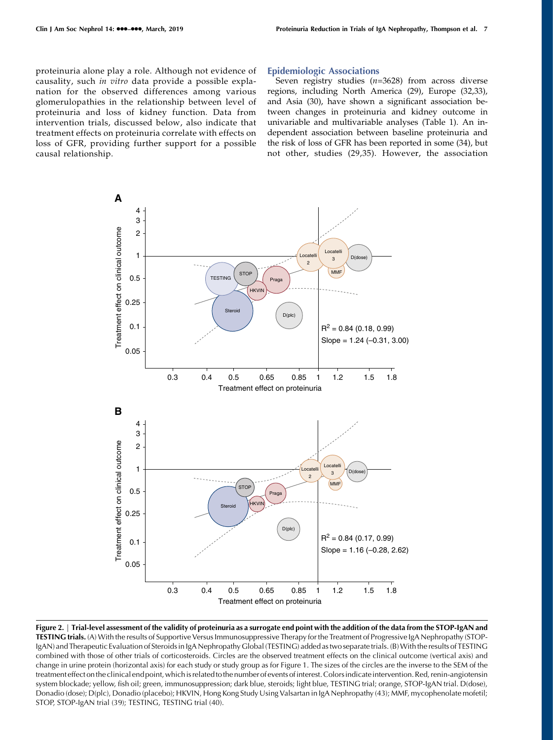proteinuria alone play a role. Although not evidence of causality, such in vitro data provide a possible explanation for the observed differences among various glomerulopathies in the relationship between level of proteinuria and loss of kidney function. Data from intervention trials, discussed below, also indicate that treatment effects on proteinuria correlate with effects on loss of GFR, providing further support for a possible causal relationship.

#### Epidemiologic Associations

Seven registry studies  $(n=3628)$  from across diverse regions, including North America (29), Europe (32,33), and Asia (30), have shown a significant association between changes in proteinuria and kidney outcome in univariable and multivariable analyses (Table 1). An independent association between baseline proteinuria and the risk of loss of GFR has been reported in some (34), but not other, studies (29,35). However, the association



Figure 2. | Trial-level assessment of the validity of proteinuria as a surrogate end point with the addition of the data from the STOP-IgAN and TESTING trials. (A) With the results of Supportive Versus Immunosuppressive Therapy for the Treatment of Progressive IgA Nephropathy (STOP-IgAN) and Therapeutic Evaluation of Steroids in IgA Nephropathy Global (TESTING) added as two separate trials. (B)With the results of TESTING combined with those of other trials of corticosteroids. Circles are the observed treatment effects on the clinical outcome (vertical axis) and change in urine protein (horizontal axis) for each study or study group as for Figure 1. The sizes of the circles are the inverse to the SEM of the treatment effect onthe clinical end point, whichis relatedtothe number of events ofinterest.Colorsindicateintervention. Red, renin-angiotensin system blockade; yellow, fish oil; green, immunosuppression; dark blue, steroids; light blue, TESTING trial; orange, STOP-IgAN trial. D(dose), Donadio (dose); D(plc), Donadio (placebo); HKVIN, Hong Kong Study Using Valsartan in IgA Nephropathy (43); MMF, mycophenolate mofetil; STOP, STOP-IgAN trial (39); TESTING, TESTING trial (40).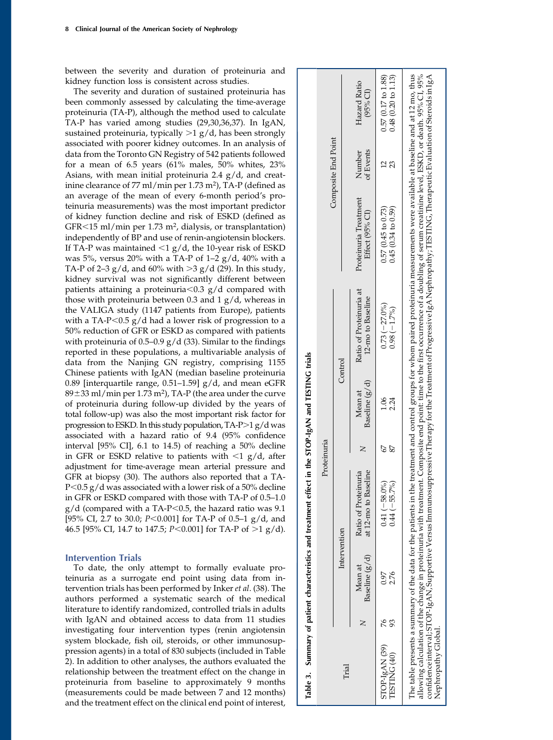between the severity and duration of proteinuria and kidney function loss is consistent across studies.

The severity and duration of sustained proteinuria has been commonly assessed by calculating the time-average proteinuria (TA-P), although the method used to calculate TA-P has varied among studies (29,30,36,37). In IgAN, sustained proteinuria, typically  $>1$  g/d, has been strongly associated with poorer kidney outcomes. In an analysis of data from the Toronto GN Registry of 542 patients followed for a mean of 6.5 years (61% males, 50% whites, 23% Asians, with mean initial proteinuria 2.4 g/d, and creatinine clearance of 77 ml/min per 1.73 m2), TA-P (defined as an average of the mean of every 6-month period's proteinuria measurements) was the most important predictor of kidney function decline and risk of ESKD (defined as GFR<15 ml/min per 1.73 m<sup>2</sup>, dialysis, or transplantation) independently of BP and use of renin-angiotensin blockers. If TA-P was maintained  $<$ 1 g/d, the 10-year risk of ESKD was 5%, versus 20% with a TA-P of 1–2  $g/d$ , 40% with a TA-P of 2–3  $g/d$ , and 60% with >3  $g/d$  (29). In this study, kidney survival was not significantly different between patients attaining a proteinuria $<$ 0.3 g/d compared with those with proteinuria between 0.3 and 1 g/d, whereas in the VALIGA study (1147 patients from Europe), patients with a TA-P<0.5  $g/d$  had a lower risk of progression to a 50% reduction of GFR or ESKD as compared with patients with proteinuria of  $0.5-0.9$  g/d (33). Similar to the findings reported in these populations, a multivariable analysis of data from the Nanjing GN registry, comprising 1155 Chinese patients with IgAN (median baseline proteinuria 0.89 [interquartile range, 0.51–1.59] g/d, and mean eGFR  $89\pm33$  ml/min per 1.73 m<sup>2</sup>), TA-P (the area under the curve of proteinuria during follow-up divided by the years of total follow-up) was also the most important risk factor for progression to ESKD. In this study population,  $TA-P>1 g/d$  was associated with a hazard ratio of 9.4 (95% confidence interval [95% CI], 6.1 to 14.5) of reaching a 50% decline in GFR or ESKD relative to patients with  $\langle 1 \text{ g}/d \text{, after} \rangle$ adjustment for time-average mean arterial pressure and GFR at biopsy (30). The authors also reported that a TA- $P$ <0.5 g/d was associated with a lower risk of a 50% decline in GFR or ESKD compared with those with TA-P of 0.5–1.0  $g/d$  (compared with a TA-P<0.5, the hazard ratio was 9.1 [95% CI, 2.7 to 30.0;  $P < 0.001$ ] for TA-P of 0.5–1 g/d, and 46.5 [95% CI, 14.7 to 147.5;  $P < 0.001$ ] for TA-P of  $>1$  g/d).

## Intervention Trials

To date, the only attempt to formally evaluate proteinuria as a surrogate end point using data from intervention trials has been performed by Inker et al. (38). The authors performed a systematic search of the medical literature to identify randomized, controlled trials in adults with IgAN and obtained access to data from 11 studies investigating four intervention types (renin angiotensin system blockade, fish oil, steroids, or other immunosuppression agents) in a total of 830 subjects (included in Table 2). In addition to other analyses, the authors evaluated the relationship between the treatment effect on the change in proteinuria from baseline to approximately 9 months (measurements could be made between 7 and 12 months) and the treatment effect on the clinical end point of interest,

|                                       |                           | Table 3. Summary of patient characteristics and treatment effect in the STOP-IgAN and TESTING trials |             |                           |                                              |                                                                                                                                                                                                                                                                                                                                                                                                                                                                                                                                                                      |                     |                                                     |
|---------------------------------------|---------------------------|------------------------------------------------------------------------------------------------------|-------------|---------------------------|----------------------------------------------|----------------------------------------------------------------------------------------------------------------------------------------------------------------------------------------------------------------------------------------------------------------------------------------------------------------------------------------------------------------------------------------------------------------------------------------------------------------------------------------------------------------------------------------------------------------------|---------------------|-----------------------------------------------------|
|                                       |                           |                                                                                                      | Proteinuria |                           |                                              |                                                                                                                                                                                                                                                                                                                                                                                                                                                                                                                                                                      |                     |                                                     |
| Trial                                 | Intervention              |                                                                                                      |             |                           | Control                                      |                                                                                                                                                                                                                                                                                                                                                                                                                                                                                                                                                                      | Composite End Point |                                                     |
|                                       | Baseline (g/d)<br>Mean at | at 12-mo to Baseline<br>Ratio of Proteinuria                                                         |             | Baseline (g/d)<br>Mean at | Ratio of Proteinuria at<br>12-mo to Baseline | Proteinuria Treatment<br>Effect (95% CI)                                                                                                                                                                                                                                                                                                                                                                                                                                                                                                                             | of Events<br>Number | Hazard Ratio<br>$(95%$ CI)                          |
| STOP-IgAN (39)<br><b>TESTING (40)</b> | 0.97<br>2.76              | $0.41 (-58.0\%)$<br>$0.44 (-55.7\%)$                                                                 |             | 90.1<br>2.24              | $0.73(-27.0\%)$<br>$0.98(-1.7%)$             | 0.45(0.34 to 0.59)<br>$0.57(0.45)$ to $0.73$ )                                                                                                                                                                                                                                                                                                                                                                                                                                                                                                                       | 23                  | $0.57(0.17 \text{ to } 1.88)$<br>0.48(0.20 to 1.13) |
| Nephropathy Global.                   |                           |                                                                                                      |             |                           |                                              | The table presents a summary of the data for the patients in the treatment and control groups for whom paired proteinuria measurements were available at baseline and at 12 mo, thus<br>allowing calculation of the change in proteinuria with treatment. Composite end point: time to the first occurrence of a doubling of serum creatinine level, ESKD, or death. 95% CI, 95%<br>confidence interval; STOP-IgAN, Supportive Versus Immunosuppressive Therapy for the Treatment of Progressive IgA Nephropathy; TESTING, Therapeutic Evaluation of Steroids in IgA |                     |                                                     |
|                                       |                           |                                                                                                      |             |                           |                                              |                                                                                                                                                                                                                                                                                                                                                                                                                                                                                                                                                                      |                     |                                                     |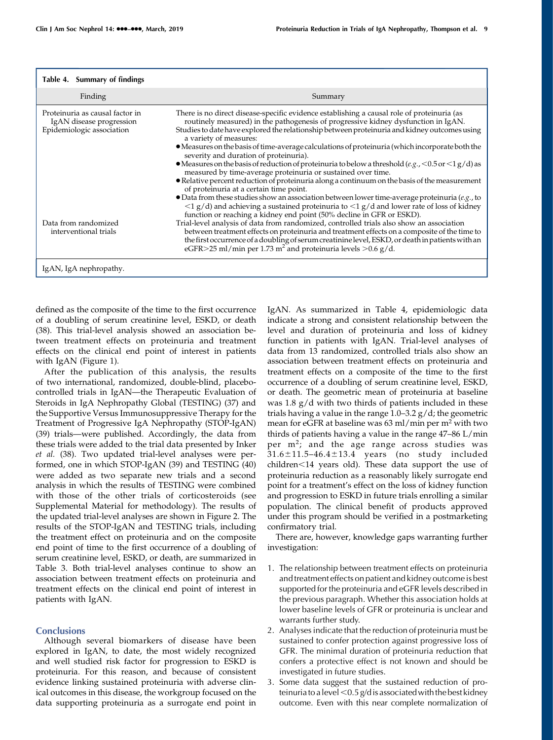| Table 4. Summary of findings                                                             |                                                                                                                                                                                                                                                                                                                                                                                                                                                                                                                                                                                                                                                                                                                                                                                                                                                                                                                                                                                                                                                                                                                |
|------------------------------------------------------------------------------------------|----------------------------------------------------------------------------------------------------------------------------------------------------------------------------------------------------------------------------------------------------------------------------------------------------------------------------------------------------------------------------------------------------------------------------------------------------------------------------------------------------------------------------------------------------------------------------------------------------------------------------------------------------------------------------------------------------------------------------------------------------------------------------------------------------------------------------------------------------------------------------------------------------------------------------------------------------------------------------------------------------------------------------------------------------------------------------------------------------------------|
| Finding                                                                                  | Summary                                                                                                                                                                                                                                                                                                                                                                                                                                                                                                                                                                                                                                                                                                                                                                                                                                                                                                                                                                                                                                                                                                        |
| Proteinuria as causal factor in<br>IgAN disease progression<br>Epidemiologic association | There is no direct disease-specific evidence establishing a causal role of proteinuria (as<br>routinely measured) in the pathogenesis of progressive kidney dysfunction in IgAN.<br>Studies to date have explored the relationship between proteinuria and kidney outcomes using<br>a variety of measures:<br>• Measures on the basis of time-average calculations of proteinuria (which incorporate both the<br>severity and duration of proteinuria).<br>• Measures on the basis of reduction of proteinuria to below a threshold $(e.g., <0.5$ or $<1 g/d$ ) as<br>measured by time-average proteinuria or sustained over time.<br>• Relative percent reduction of proteinuria along a continuum on the basis of the measurement<br>of proteinuria at a certain time point.<br>$\bullet$ Data from these studies show an association between lower time-average proteinuria (e.g., to<br>$\langle 1 \text{ g/d} \rangle$ and achieving a sustained proteinuria to $\langle 1 \text{ g/d} \rangle$ and lower rate of loss of kidney<br>function or reaching a kidney end point (50% decline in GFR or ESKD). |
| Data from randomized<br>interventional trials                                            | Trial-level analysis of data from randomized, controlled trials also show an association<br>between treatment effects on proteinuria and treatment effects on a composite of the time to<br>the first occurrence of a doubling of serum creatinine level, ESKD, or death in patients with an<br>eGFR>25 ml/min per 1.73 m <sup>2</sup> and proteinuria levels >0.6 g/d.                                                                                                                                                                                                                                                                                                                                                                                                                                                                                                                                                                                                                                                                                                                                        |
| IgAN, IgA nephropathy.                                                                   |                                                                                                                                                                                                                                                                                                                                                                                                                                                                                                                                                                                                                                                                                                                                                                                                                                                                                                                                                                                                                                                                                                                |

defined as the composite of the time to the first occurrence of a doubling of serum creatinine level, ESKD, or death (38). This trial-level analysis showed an association between treatment effects on proteinuria and treatment effects on the clinical end point of interest in patients with IgAN (Figure 1).

After the publication of this analysis, the results of two international, randomized, double-blind, placebocontrolled trials in IgAN—the Therapeutic Evaluation of Steroids in IgA Nephropathy Global (TESTING) (37) and the Supportive Versus Immunosuppressive Therapy for the Treatment of Progressive IgA Nephropathy (STOP-IgAN) (39) trials—were published. Accordingly, the data from these trials were added to the trial data presented by Inker et al. (38). Two updated trial-level analyses were performed, one in which STOP-IgAN (39) and TESTING (40) were added as two separate new trials and a second analysis in which the results of TESTING were combined with those of the other trials of corticosteroids (see [Supplemental Material](http://cjasn.asnjournals.org/lookup/suppl/doi:10.2215/CJN.08600718/-/DCSupplemental) for methodology). The results of the updated trial-level analyses are shown in Figure 2. The results of the STOP-IgAN and TESTING trials, including the treatment effect on proteinuria and on the composite end point of time to the first occurrence of a doubling of serum creatinine level, ESKD, or death, are summarized in Table 3. Both trial-level analyses continue to show an association between treatment effects on proteinuria and treatment effects on the clinical end point of interest in patients with IgAN.

#### **Conclusions**

Although several biomarkers of disease have been explored in IgAN, to date, the most widely recognized and well studied risk factor for progression to ESKD is proteinuria. For this reason, and because of consistent evidence linking sustained proteinuria with adverse clinical outcomes in this disease, the workgroup focused on the data supporting proteinuria as a surrogate end point in

IgAN. As summarized in Table 4, epidemiologic data indicate a strong and consistent relationship between the level and duration of proteinuria and loss of kidney function in patients with IgAN. Trial-level analyses of data from 13 randomized, controlled trials also show an association between treatment effects on proteinuria and treatment effects on a composite of the time to the first occurrence of a doubling of serum creatinine level, ESKD, or death. The geometric mean of proteinuria at baseline was 1.8 g/d with two thirds of patients included in these trials having a value in the range 1.0–3.2 g/d; the geometric mean for eGFR at baseline was 63 ml/min per m<sup>2</sup> with two thirds of patients having a value in the range 47–86 L/min per m<sup>2</sup>; and the age range across studies was  $31.6 \pm 11.5 - 46.4 \pm 13.4$  years (no study included children<14 years old). These data support the use of proteinuria reduction as a reasonably likely surrogate end point for a treatment's effect on the loss of kidney function and progression to ESKD in future trials enrolling a similar population. The clinical benefit of products approved under this program should be verified in a postmarketing confirmatory trial.

There are, however, knowledge gaps warranting further investigation:

- 1. The relationship between treatment effects on proteinuria and treatment effects on patient and kidney outcome is best supported for the proteinuria and eGFR levels described in the previous paragraph. Whether this association holds at lower baseline levels of GFR or proteinuria is unclear and warrants further study.
- 2. Analyses indicate that the reduction of proteinuria must be sustained to confer protection against progressive loss of GFR. The minimal duration of proteinuria reduction that confers a protective effect is not known and should be investigated in future studies.
- 3. Some data suggest that the sustained reduction of proteinuria to a level  $<$  0.5 g/d is associated with the best kidney outcome. Even with this near complete normalization of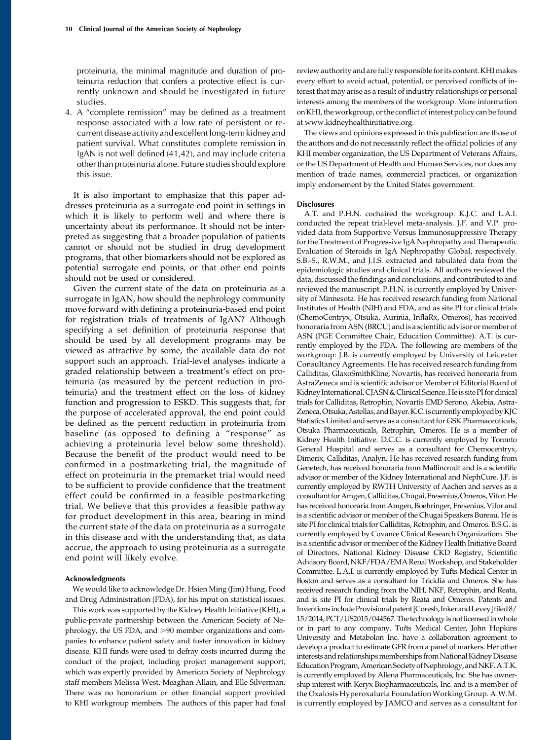proteinuria, the minimal magnitude and duration of proteinuria reduction that confers a protective effect is currently unknown and should be investigated in future studies.

4. A "complete remission" may be defined as a treatment response associated with a low rate of persistent or recurrent disease activity and excellentlong-term kidney and patient survival. What constitutes complete remission in IgAN is not well defined (41,42), and may include criteria other than proteinuria alone. Future studies should explore this issue.

It is also important to emphasize that this paper addresses proteinuria as a surrogate end point in settings in which it is likely to perform well and where there is uncertainty about its performance. It should not be interpreted as suggesting that a broader population of patients cannot or should not be studied in drug development programs, that other biomarkers should not be explored as potential surrogate end points, or that other end points should not be used or considered.

Given the current state of the data on proteinuria as a surrogate in IgAN, how should the nephrology community move forward with defining a proteinuria-based end point for registration trials of treatments of IgAN? Although specifying a set definition of proteinuria response that should be used by all development programs may be viewed as attractive by some, the available data do not support such an approach. Trial-level analyses indicate a graded relationship between a treatment's effect on proteinuria (as measured by the percent reduction in proteinuria) and the treatment effect on the loss of kidney function and progression to ESKD. This suggests that, for the purpose of accelerated approval, the end point could be defined as the percent reduction in proteinuria from baseline (as opposed to defining a "response" as achieving a proteinuria level below some threshold). Because the benefit of the product would need to be confirmed in a postmarketing trial, the magnitude of effect on proteinuria in the premarket trial would need to be sufficient to provide confidence that the treatment effect could be confirmed in a feasible postmarketing trial. We believe that this provides a feasible pathway for product development in this area, bearing in mind the current state of the data on proteinuria as a surrogate in this disease and with the understanding that, as data accrue, the approach to using proteinuria as a surrogate end point will likely evolve.

#### Acknowledgments

We would like to acknowledge Dr. Hsien Ming (Jim) Hung, Food and Drug Administration (FDA), for his input on statistical issues.

This work was supported by the Kidney Health Initiative (KHI), a public-private partnership between the American Society of Nephrology, the US FDA, and >90 member organizations and companies to enhance patient safety and foster innovation in kidney disease. KHI funds were used to defray costs incurred during the conduct of the project, including project management support, which was expertly provided by American Society of Nephrology staff members Melissa West, Meaghan Allain, and Elle Silverman. There was no honorarium or other financial support provided to KHI workgroup members. The authors of this paper had final review authority and are fully responsible for its content. KHImakes every effort to avoid actual, potential, or perceived conflicts of interest that may arise as a result of industry relationships or personal interests among the members of the workgroup. More information on KHI, the workgroup, or the conflict of interest policy can be found at [www.kidneyhealthinitiative.org](http://www.kidneyhealthinitiative.org).

The views and opinions expressed in this publication are those of the authors and do not necessarily reflect the official policies of any KHI member organization, the US Department of Veterans Affairs, or the US Department of Health and Human Services, nor does any mention of trade names, commercial practices, or organization imply endorsement by the United States government.

#### **Disclosures**

A.T. and P.H.N. cochaired the workgroup. K.J.C. and L.A.I. conducted the repeat trial-level meta-analysis. J.F. and V.P. provided data from Supportive Versus Immunosuppressive Therapy for the Treatment of Progressive IgA Nephropathy and Therapeutic Evaluation of Steroids in IgA Nephropathy Global, respectively. S.B.-S., R.W.M., and J.I.S. extracted and tabulated data from the epidemiologic studies and clinical trials. All authors reviewed the data, discussed the findings and conclusions, and contributed to and reviewed the manuscript. P.H.N. is currently employed by University of Minnesota. He has received research funding from National Institutes of Health (NIH) and FDA, and as site PI for clinical trials (ChemoCentryx, Otsuka, Aurinia, InflaRx, Omeros), has received honoraria from ASN (BRCU) and is a scientific advisor or member of ASN (PGE Committee Chair, Education Committee). A.T. is currently employed by the FDA. The following are members of the workgroup: J.B. is currently employed by University of Leicester Consultancy Agreements. He has received research funding from Calliditas, GlaxoSmithKline, Novartis, has received honoraria from AstraZeneca and is scientific advisor or Member of Editorial Board of Kidney International, CJASN & Clinical Science. He is site PI for clinical trials for Calliditas, Retrophin, Novartis EMD Serono, Akebia, Astra-Zeneca, Otsuka, Astellas, and Bayer. K.C. is currently employed by KJC Statistics Limited and serves as a consultant for GSK Pharmaceuticals, Otsuka Pharmaceuticals, Retrophin, Omeros. He is a member of Kidney Health Initiative. D.C.C. is currently employed by Toronto General Hospital and serves as a consultant for Chemocentryx, Dimerix, Calliditas, Analyn. He has received research funding from Genetech, has received honoraria from Mallincrodt and is a scientific advisor or member of the Kidney International and NephCure. J.F. is currently employed by RWTH University of Aachen and serves as a consultant forAmgen,Calliditas,Chugai,Fresenius,Omeros,Vifor.He has received honoraria from Amgen, Boehringer, Fresenius, Vifor and is a scientific advisor or member of the Chugai Speakers Bureau. He is site PI for clinical trials for Calliditas, Retrophin, and Omeros. B.S.G. is currently employed by Covance Clinical Research Organizatiom. She is a scientific advisor or member of the Kidney Health Initiative Board of Directors, National Kidney Disease CKD Registry, Scientific Advisory Board, NKF/FDA/EMA Renal Workshop, and Stakeholder Committee. L.A.I. is currently employed by Tufts Medical Center in Boston and serves as a consultant for Tricidia and Omeros. She has received research funding from the NIH, NKF, Retrophin, and Reata, and is site PI for clinical trials by Reata and Omeros. Patents and Inventions include Provisional patent [Coresh, Inker and Levey] filed 8/ 15/2014, PCT/US2015/044567. The technology is not licensed in whole or in part to any company. Tufts Medical Center, John Hopkins University and Metabolon Inc. have a collaboration agreement to develop a product to estimate GFR from a panel of markers. Her other interests and relationships memberships from National Kidney Disease Education Program, American Society of Nephrology, and NKF. A.T.K. is currently employed by Allena Pharmaceuticals, Inc. She has ownership interest with Keryx Biopharmaceuticals, Inc. and is a member of the Oxalosis Hyperoxaluria FoundationWorking Group. A.W.M. is currently employed by JAMCO and serves as a consultant for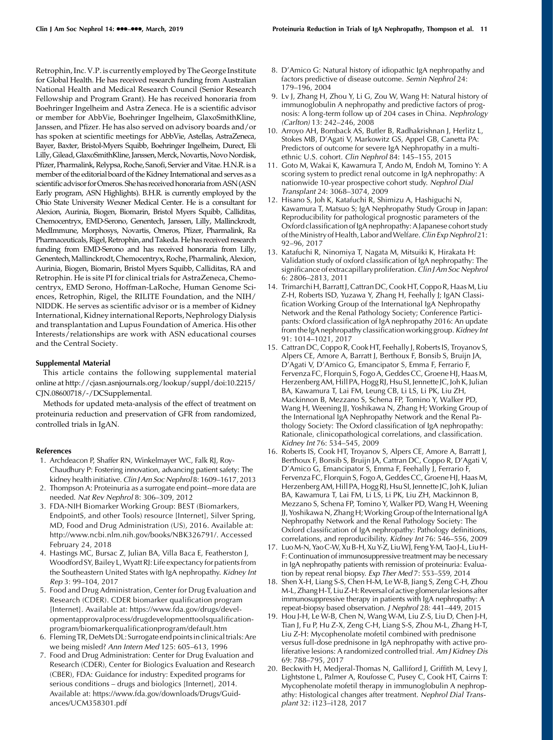Retrophin, Inc. V.P.is currently employed by The George Institute for Global Health. He has received research funding from Australian National Health and Medical Research Council (Senior Research Fellowship and Program Grant). He has received honoraria from Boehringer Ingelheim and Astra Zeneca. He is a scientific advisor or member for AbbVie, Boehringer Ingelheim, GlaxoSmithKline, Janssen, and Pfizer. He has also served on advisory boards and/or has spoken at scientific meetings for AbbVie, Astellas, AstraZeneca, Bayer, Baxter, Bristol-Myers Squibb, Boehringer Ingelheim, Durect, Eli Lilly, Gilead, GlaxoSmithKline, Janssen, Merck, Novartis, Novo Nordisk, Pfizer, Pharmalink, Relypsa, Roche, Sanofi, Servier and Vitae. H.N.R. is a member of the editorial board of the Kidney International and serves as a scientific advisor for Omeros. She has received honoraria from ASN (ASN Early program, ASN Highlights). B.H.R. is currently employed by the Ohio State University Wexner Medical Center. He is a consultant for Alexion, Aurinia, Biogen, Biomarin, Bristol Myers Squibb, Calliditas, Chemocentryx, EMD-Serono, Genentech, Janssen, Lilly, Mallinckrodt, MedImmune, Morphosys, Novartis, Omeros, Pfizer, Pharmalink, Ra Pharmaceuticals, Rigel, Retrophin, and Takeda. He has received research funding from EMD-Serono and has received honoraria from Lilly, Genentech,Mallinckrodt, Chemocentryx, Roche, Pharmalink, Alexion, Aurinia, Biogen, Biomarin, Bristol Myers Squibb, Calliditas, RA and Retrophin. He is site PI for clinical trials for AstraZeneca, Chemocentryx, EMD Serono, Hoffman-LaRoche, Human Genome Sciences, Retrophin, Rigel, the RILITE Foundation, and the NIH/ NIDDK. He serves as scientific advisor or is a member of Kidney International, Kidney international Reports, Nephrology Dialysis and transplantation and Lupus Foundation of America. His other Interests/relationships are work with ASN educational courses and the Central Society.

#### Supplemental Material

This article contains the following supplemental material online at [http://cjasn.asnjournals.org/lookup/suppl/doi:10.2215/](http://cjasn.asnjournals.org/lookup/suppl/doi:10.2215/CJN.08600718/-/DCSupplemental) [CJN.08600718/-/DCSupplemental.](http://cjasn.asnjournals.org/lookup/suppl/doi:10.2215/CJN.08600718/-/DCSupplemental)

Methods for updated meta-analysis of the effect of treatment on proteinuria reduction and preservation of GFR from randomized, controlled trials in IgAN.

#### References

- 1. Archdeacon P, Shaffer RN, Winkelmayer WC, Falk RJ, Roy-Chaudhury P: Fostering innovation, advancing patient safety: The kidney health initiative. Clin J Am Soc Nephrol 8: 1609-1617, 2013
- 2. Thompson A: Proteinuria as a surrogate end point--more data are needed. Nat Rev Nephrol 8: 306–309, 2012
- 3. FDA-NIH Biomarker Working Group: BEST (Biomarkers, EndpointS, and other Tools) resource [Internet], Silver Spring, MD, Food and Drug Administration (US), 2016. Available at: <http://www.ncbi.nlm.nih.gov/books/NBK326791/>. Accessed February 24, 2018
- 4. Hastings MC, Bursac Z, Julian BA, Villa Baca E, Featherston J, Woodford SY, Bailey L,Wyatt RJ: Life expectancy for patients from the Southeastern United States with IgA nephropathy. Kidney Int Rep 3: 99–104, 2017
- 5. Food and Drug Administration, Center for Drug Evaluation and Research (CDER). CDER biomarker qualification program [Internet]. Available at: [https://www.fda.gov/drugs/devel](https://www.fda.gov/drugs/developmentapprovalprocess/drugdevelopmenttoolsqualificationprogram/biomarkerqualificationprogram/default.htm)[opmentapprovalprocess/drugdevelopmenttoolsqualification](https://www.fda.gov/drugs/developmentapprovalprocess/drugdevelopmenttoolsqualificationprogram/biomarkerqualificationprogram/default.htm)[program/biomarkerqualificationprogram/default.htm](https://www.fda.gov/drugs/developmentapprovalprocess/drugdevelopmenttoolsqualificationprogram/biomarkerqualificationprogram/default.htm)
- 6. Fleming TR, DeMetsDL: Surrogate end pointsin clinicaltrials:Are we being misled? Ann Intern Med 125: 605–613, 1996
- 7. Food and Drug Administration: Center for Drug Evaluation and Research (CDER), Center for Biologics Evaluation and Research (CBER), FDA: Guidance for industry: Expedited programs for serious conditions – drugs and biologics [Internet], 2014. Available at: [https://www.fda.gov/downloads/Drugs/Guid](https://www.fda.gov/downloads/Drugs/Guidances/UCM358301.pdf)[ances/UCM358301.pdf](https://www.fda.gov/downloads/Drugs/Guidances/UCM358301.pdf)
- 8. D'Amico G: Natural history of idiopathic IgA nephropathy and factors predictive of disease outcome. Semin Nephrol 24: 179–196, 2004
- 9. Lv J, Zhang H, Zhou Y, Li G, Zou W, Wang H: Natural history of immunoglobulin A nephropathy and predictive factors of prognosis: A long-term follow up of 204 cases in China. Nephrology (Carlton) 13: 242–246, 2008
- 10. Arroyo AH, Bomback AS, Butler B, Radhakrishnan J, Herlitz L, Stokes MB, D'Agati V, Markowitz GS, Appel GB, Canetta PA: Predictors of outcome for severe IgA Nephropathy in a multiethnic U.S. cohort. Clin Nephrol 84: 145–155, 2015
- 11. Goto M, Wakai K, Kawamura T, Ando M, Endoh M, Tomino Y: A scoring system to predict renal outcome in IgA nephropathy: A nationwide 10-year prospective cohort study. Nephrol Dial Transplant 24: 3068–3074, 2009
- 12. Hisano S, Joh K, Katafuchi R, Shimizu A, Hashiguchi N, Kawamura T, Matsuo S; IgA Nephropathy Study Group in Japan: Reproducibility for pathological prognostic parameters of the Oxford classification of IgA nephropathy: AJapanese cohort study of the Ministry of Health, Labor and Welfare. Clin Exp Nephrol 21: 92–96, 2017
- 13. Katafuchi R, Ninomiya T, Nagata M, Mitsuiki K, Hirakata H: Validation study of oxford classification of IgA nephropathy: The significance of extracapillary proliferation. Clin J Am Soc Nephrol 6: 2806–2813, 2011
- 14. Trimarchi H, Barratt J, Cattran DC, Cook HT, Coppo R, Haas M, Liu Z-H, Roberts ISD, Yuzawa Y, Zhang H, Feehally J; IgAN Classification Working Group of the International IgA Nephropathy Network and the Renal Pathology Society; Conference Participants: Oxford classification of IgA nephropathy 2016: An update from the IgA nephropathy classification working group. Kidney Int 91: 1014–1021, 2017
- 15. Cattran DC, Coppo R, Cook HT, Feehally J, Roberts IS, Troyanov S, Alpers CE, Amore A, Barratt J, Berthoux F, Bonsib S, Bruijn JA, D'Agati V, D'Amico G, Emancipator S, Emma F, Ferrario F, Fervenza FC, Florquin S, Fogo A, Geddes CC, Groene HJ, Haas M, Herzenberg AM, Hill PA, Hogg RJ, Hsu SI, Jennette JC, Joh K, Julian BA, Kawamura T, Lai FM, Leung CB, Li LS, Li PK, Liu ZH, Mackinnon B, Mezzano S, Schena FP, Tomino Y, Walker PD, Wang H, Weening JJ, Yoshikawa N, Zhang H; Working Group of the International IgA Nephropathy Network and the Renal Pathology Society: The Oxford classification of IgA nephropathy: Rationale, clinicopathological correlations, and classification. Kidney Int 76: 534–545, 2009
- 16. Roberts IS, Cook HT, Troyanov S, Alpers CE, Amore A, Barratt J, Berthoux F, Bonsib S, Bruijn JA, Cattran DC, Coppo R, D'Agati V, D'Amico G, Emancipator S, Emma F, Feehally J, Ferrario F, Fervenza FC, Florquin S, Fogo A, Geddes CC, Groene HJ, Haas M, Herzenberg AM, Hill PA, Hogg RJ, Hsu SI, Jennette JC, Joh K, Julian BA, Kawamura T, Lai FM, Li LS, Li PK, Liu ZH, Mackinnon B, Mezzano S, Schena FP, Tomino Y, Walker PD, Wang H, Weening JJ, Yoshikawa N, Zhang H; Working Group of the International IgA Nephropathy Network and the Renal Pathology Society: The Oxford classification of IgA nephropathy: Pathology definitions, correlations, and reproducibility. Kidney Int 76: 546–556, 2009
- 17. LuoM-N, YaoC-W, Xu B-H, Xu Y-Z, LiuWJ, Feng Y-M, TaoJ-L, LiuH-F: Continuation of immunosuppressive treatment may be necessary in IgA nephropathy patients with remission of proteinuria: Evaluation by repeat renal biopsy. Exp Ther Med 7: 553–559, 2014
- 18. Shen X-H, Liang S-S, Chen H-M, Le W-B, Jiang S, Zeng C-H, Zhou M-L, Zhang H-T, Liu Z-H: Reversal of active glomerular lesions after immunosuppressive therapy in patients with IgA nephropathy: A repeat-biopsy based observation. J Nephrol 28: 441–449, 2015
- 19. Hou J-H, Le W-B, Chen N, Wang W-M, Liu Z-S, Liu D, Chen J-H, Tian J, Fu P, Hu Z-X, Zeng C-H, Liang S-S, Zhou M-L, Zhang H-T, Liu Z-H: Mycophenolate mofetil combined with prednisone versus full-dose prednisone in IgA nephropathy with active proliferative lesions: A randomized controlled trial. Am J Kidney Dis 69: 788–795, 2017
- 20. Beckwith H, Medjeral-Thomas N, Galliford J, Griffith M, Levy J, Lightstone L, Palmer A, Roufosse C, Pusey C, Cook HT, Cairns T: Mycophenolate mofetil therapy in immunoglobulin A nephropathy: Histological changes after treatment. Nephrol Dial Transplant 32: i123–i128, 2017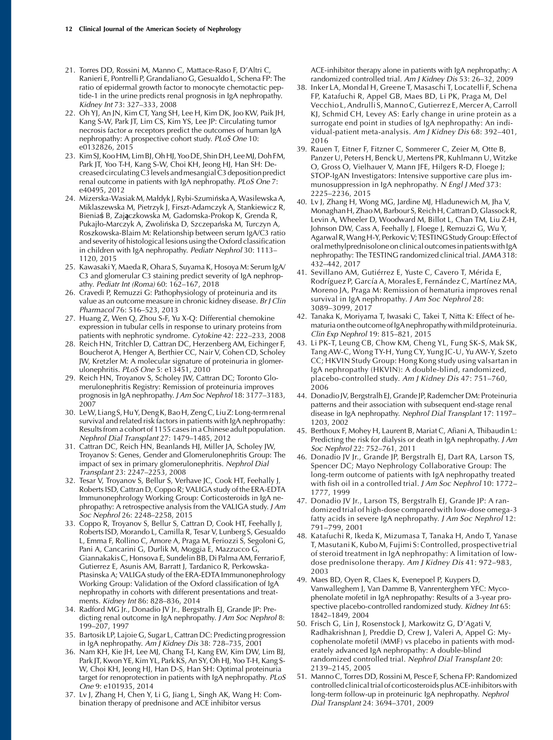- 21. Torres DD, Rossini M, Manno C, Mattace-Raso F, D'Altri C, Ranieri E, Pontrelli P, Grandaliano G, Gesualdo L, Schena FP: The ratio of epidermal growth factor to monocyte chemotactic peptide-1 in the urine predicts renal prognosis in IgA nephropathy. Kidney Int 73: 327–333, 2008
- 22. Oh YJ, An JN, Kim CT, Yang SH, Lee H, Kim DK, Joo KW, Paik JH, Kang S-W, Park JT, Lim CS, Kim YS, Lee JP: Circulating tumor necrosis factor  $\alpha$  receptors predict the outcomes of human IgA nephropathy: A prospective cohort study. PLoS One 10: e0132826, 2015
- 23. Kim SJ, Koo HM, Lim BJ,Oh HJ, Yoo DE, Shin DH, LeeMJ, Doh FM, Park JT, Yoo T-H, Kang S-W, Choi KH, Jeong HJ, Han SH: Decreased circulatingC3levels andmesangial C3 deposition predict renal outcome in patients with IgA nephropathy. PLoS One 7: e40495, 2012
- 24. Mizerska-Wasiak M, Małdyk J, Rybi-Szumińska A, Wasilewska A, Miklaszewska M, Pietrzyk J, Firszt-Adamczyk A, Stankiewicz R, Bieniaś B, Zajączkowska M, Gadomska-Prokop K, Grenda R, Pukajło-Marczyk A, Zwolińska D, Szczepańska M, Turczyn A, Roszkowska-Blaim M: Relationship between serum IgA/C3 ratio and severity of histological lesions using the Oxford classification in children with IgA nephropathy. Pediatr Nephrol 30: 1113-1120, 2015
- 25. Kawasaki Y, Maeda R, Ohara S, Suyama K, Hosoya M: Serum IgA/ C3 and glomerular C3 staining predict severity of IgA nephropathy. Pediatr Int (Roma) 60: 162–167, 2018
- 26. Cravedi P, Remuzzi G: Pathophysiology of proteinuria and its value as an outcome measure in chronic kidney disease. Br J Clin Pharmacol 76: 516–523, 2013
- 27. Huang Z, Wen Q, Zhou S-F, Yu X-Q: Differential chemokine expression in tubular cells in response to urinary proteins from patients with nephrotic syndrome. Cytokine 42: 222–233, 2008
- 28. Reich HN, Tritchler D, Cattran DC, Herzenberg AM, Eichinger F, Boucherot A, Henger A, Berthier CC, Nair V, Cohen CD, Scholey JW, Kretzler M: A molecular signature of proteinuria in glomerulonephritis. PLoS One 5: e13451, 2010
- 29. Reich HN, Troyanov S, Scholey JW, Cattran DC; Toronto Glomerulonephritis Registry: Remission of proteinuria improves prognosis in IgA nephropathy. J Am Soc Nephrol 18: 3177-3183, 2007
- 30. LeW, Liang S, Hu Y, Deng K, Bao H, Zeng C, Liu Z: Long-term renal survival and related risk factors in patients with IgA nephropathy: Results from a cohort of 1155 cases in a Chinese adult population. Nephrol Dial Transplant 27: 1479–1485, 2012
- 31. Cattran DC, Reich HN, Beanlands HJ, Miller JA, Scholey JW, Troyanov S: Genes, Gender and Glomerulonephritis Group: The impact of sex in primary glomerulonephritis. Nephrol Dial Transplant 23: 2247–2253, 2008
- 32. Tesar V, Troyanov S, Bellur S, Verhave JC, Cook HT, Feehally J, Roberts ISD, Cattran D, Coppo R; VALIGA study of the ERA-EDTA Immunonephrology Working Group: Corticosteroids in IgA nephropathy: A retrospective analysis from the VALIGA study. J Am Soc Nephrol 26: 2248–2258, 2015
- 33. Coppo R, Troyanov S, Bellur S, Cattran D, Cook HT, Feehally J, Roberts ISD, Morando L, Camilla R, Tesar V, Lunberg S, Gesualdo L, Emma F, Rollino C, Amore A, Praga M, Feriozzi S, Segoloni G, Pani A, Cancarini G, Durlik M, Moggia E, Mazzucco G, Giannakakis C, Honsova E, Sundelin BB, Di Palma AM, Ferrario F, Gutierrez E, Asunis AM, Barratt J, Tardanico R, Perkowska-Ptasinska A; VALIGA study of the ERA-EDTA Immunonephrology Working Group: Validation of the Oxford classification of IgA nephropathy in cohorts with different presentations and treatments. Kidney Int 86: 828–836, 2014
- 34. Radford MG Jr., Donadio JV Jr., Bergstralh EJ, Grande JP: Predicting renal outcome in IgA nephropathy. J Am Soc Nephrol 8: 199–207, 1997
- 35. Bartosik LP, Lajoie G, Sugar L, Cattran DC: Predicting progression in IgA nephropathy. Am J Kidney Dis 38: 728–735, 2001
- 36. Nam KH, Kie JH, Lee MJ, Chang T-I, Kang EW, Kim DW, Lim BJ, Park JT, Kwon YE, Kim YL, Park KS, An SY, Oh HJ, Yoo T-H, Kang S-W, Choi KH, Jeong HJ, Han D-S, Han SH: Optimal proteinuria target for renoprotection in patients with IgA nephropathy. PLoS One 9: e101935, 2014
- 37. Lv J, Zhang H, Chen Y, Li G, Jiang L, Singh AK, Wang H: Combination therapy of prednisone and ACE inhibitor versus

ACE-inhibitor therapy alone in patients with IgA nephropathy: A randomized controlled trial. Am J Kidney Dis 53: 26–32, 2009

- 38. Inker LA, Mondal H, Greene T, Masaschi T, Locatelli F, Schena FP, Katafuchi R, Appel GB, Maes BD, Li PK, Praga M, Del Vecchio L, Andrulli S, Manno C, Gutierrez E, Mercer A, Carroll KJ, Schmid CH, Levey AS: Early change in urine protein as a surrogate end point in studies of IgA nephropathy: An individual-patient meta-analysis. Am J Kidney Dis 68: 392–401, 2016
- 39. Rauen T, Eitner F, Fitzner C, Sommerer C, Zeier M, Otte B, Panzer U, Peters H, Benck U, Mertens PR, Kuhlmann U, Witzke O, Gross O, Vielhauer V, Mann JFE, Hilgers R-D, Floege J; STOP-IgAN Investigators: Intensive supportive care plus immunosuppression in IgA nephropathy. N Engl J Med 373: 2225–2236, 2015
- 40. Lv J, Zhang H, Wong MG, Jardine MJ, Hladunewich M, Jha V, Monaghan H, ZhaoM, Barbour S, Reich H, Cattran D, Glassock R, Levin A, Wheeler D, Woodward M, Billot L, Chan TM, Liu Z-H, Johnson DW, Cass A, Feehally J, Floege J, Remuzzi G, Wu Y, Agarwal R,WangH-Y, PerkovicV; TESTING StudyGroup: Effect of oral methylprednisolone on clinical outcomes in patients with IgA nephropathy: The TESTING randomized clinical trial. JAMA 318: 432–442, 2017
- 41. Sevillano AM, Gutiérrez E, Yuste C, Cavero T, Mérida E, Rodríguez P, García A, Morales E, Fernández C, Martínez MA, Moreno JA, Praga M: Remission of hematuria improves renal survival in IgA nephropathy. J Am Soc Nephrol 28: 3089–3099, 2017
- 42. Tanaka K, Moriyama T, Iwasaki C, Takei T, Nitta K: Effect of hematuria on the outcome of IgA nephropathy with mild proteinuria. Clin Exp Nephrol 19: 815–821, 2015
- 43. Li PK-T, Leung CB, Chow KM, Cheng YL, Fung SK-S, Mak SK, Tang AW-C, Wong TY-H, Yung CY, Yung JC-U, Yu AW-Y, Szeto CC; HKVIN Study Group: Hong Kong study using valsartan in IgA nephropathy (HKVIN): A double-blind, randomized, placebo-controlled study. Am J Kidney Dis 47: 751–760, 2006
- 44. Donadio JV, Bergstralh EJ, Grande JP, Rademcher DM: Proteinuria patterns and their association with subsequent end-stage renal disease in IgA nephropathy. Nephrol Dial Transplant 17: 1197– 1203, 2002
- 45. Berthoux F, Mohey H, Laurent B, Mariat C, Afiani A, Thibaudin L: Predicting the risk for dialysis or death in IgA nephropathy. J Am Soc Nephrol 22: 752–761, 2011
- 46. Donadio JV Jr., Grande JP, Bergstralh EJ, Dart RA, Larson TS, Spencer DC; Mayo Nephrology Collaborative Group: The long-term outcome of patients with IgA nephropathy treated with fish oil in a controlled trial. J Am Soc Nephrol 10: 1772– 1777, 1999
- 47. Donadio JV Jr., Larson TS, Bergstralh EJ, Grande JP: A randomized trial of high-dose compared with low-dose omega-3 fatty acids in severe IgA nephropathy. J Am Soc Nephrol 12: 791–799, 2001
- 48. Katafuchi R, Ikeda K, Mizumasa T, Tanaka H, Ando T, Yanase T, Masutani K, Kubo M, Fujimi S: Controlled, prospective trial of steroid treatment in IgA nephropathy: A limitation of lowdose prednisolone therapy. Am J Kidney Dis 41: 972–983, 2003
- 49. Maes BD, Oyen R, Claes K, Evenepoel P, Kuypers D, Vanwalleghem J, Van Damme B, Vanrenterghem YFC: Mycophenolate mofetil in IgA nephropathy: Results of a 3-year prospective placebo-controlled randomized study. Kidney Int 65: 1842–1849, 2004
- 50. Frisch G, Lin J, Rosenstock J, Markowitz G, D'Agati V, Radhakrishnan J, Preddie D, Crew J, Valeri A, Appel G: Mycophenolate mofetil (MMF) vs placebo in patients with moderately advanced IgA nephropathy: A double-blind randomized controlled trial. Nephrol Dial Transplant 20: 2139–2145, 2005
- 51. Manno C, Torres DD, Rossini M, Pesce F, Schena FP: Randomized controlled clinical trial of corticosteroids plus ACE-inhibitors with long-term follow-up in proteinuric IgA nephropathy. Nephrol Dial Transplant 24: 3694–3701, 2009